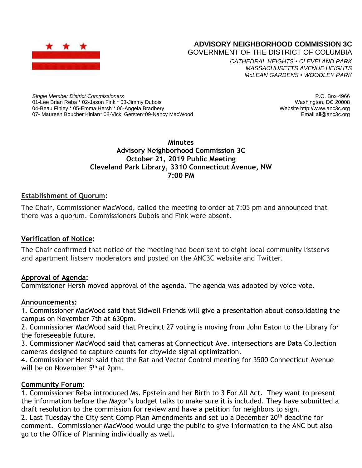

# **ADVISORY NEIGHBORHOOD COMMISSION 3C**

GOVERNMENT OF THE DISTRICT OF COLUMBIA

*CATHEDRAL HEIGHTS* • *CLEVELAND PARK MASSACHUSETTS AVENUE HEIGHTS McLEAN GARDENS* • *WOODLEY PARK*

*Single Member District Commissioners* 01-Lee Brian Reba \* 02-Jason Fink \* 03-Jimmy Dubois 04-Beau Finley \* 05-Emma Hersh \* 06-Angela Bradbery 07- Maureen Boucher Kinlan\* 08-Vicki Gersten\*09-Nancy MacWood

P.O. Box 4966 Washington, DC 20008 Website http://www.anc3c.org Email all@anc3c.org

# **Minutes Advisory Neighborhood Commission 3C October 21, 2019 Public Meeting Cleveland Park Library, 3310 Connecticut Avenue, NW 7:00 PM**

# **Establishment of Quorum:**

The Chair, Commissioner MacWood, called the meeting to order at 7:05 pm and announced that there was a quorum. Commissioners Dubois and Fink were absent.

### **Verification of Notice:**

The Chair confirmed that notice of the meeting had been sent to eight local community listservs and apartment listserv moderators and posted on the ANC3C website and Twitter.

### **Approval of Agenda:**

Commissioner Hersh moved approval of the agenda. The agenda was adopted by voice vote.

### **Announcements:**

1. Commissioner MacWood said that Sidwell Friends will give a presentation about consolidating the campus on November 7th at 630pm.

2. Commissioner MacWood said that Precinct 27 voting is moving from John Eaton to the Library for the foreseeable future.

3. Commissioner MacWood said that cameras at Connecticut Ave. intersections are Data Collection cameras designed to capture counts for citywide signal optimization.

4. Commissioner Hersh said that the Rat and Vector Control meeting for 3500 Connecticut Avenue will be on November 5<sup>th</sup> at 2pm.

### **Community Forum**:

1. Commissioner Reba introduced Ms. Epstein and her Birth to 3 For All Act. They want to present the information before the Mayor's budget talks to make sure it is included. They have submitted a draft resolution to the commission for review and have a petition for neighbors to sign.

2. Last Tuesday the City sent Comp Plan Amendments and set up a December 20<sup>th</sup> deadline for comment. Commissioner MacWood would urge the public to give information to the ANC but also go to the Office of Planning individually as well.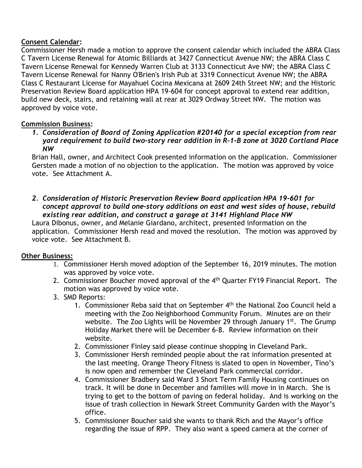# **Consent Calendar:**

Commissioner Hersh made a motion to approve the consent calendar which included the ABRA Class C Tavern License Renewal for Atomic Billiards at 3427 Connecticut Avenue NW; the ABRA Class C Tavern License Renewal for Kennedy Warren Club at 3133 Connecticut Ave NW; the ABRA Class C Tavern License Renewal for Nanny O'Brien's Irish Pub at 3319 Connecticut Avenue NW; the ABRA Class C Restaurant License for Mayahuel Cocina Mexicana at 2609 24th Street NW; and the Historic Preservation Review Board application HPA 19-604 for concept approval to extend rear addition, build new deck, stairs, and retaining wall at rear at 3029 Ordway Street NW. The motion was approved by voice vote.

# **Commission Business:**

*1. Consideration of Board of Zoning Application #20140 for a special exception from rear yard requirement to build two-story rear addition in R-1-B zone at 3020 Cortland Place NW*

Brian Hall, owner, and Architect Cook presented information on the application. Commissioner Gersten made a motion of no objection to the application. The motion was approved by voice vote. See Attachment A.

*2. Consideration of Historic Preservation Review Board application HPA 19-601 for concept approval to build one-story additions on east and west sides of house, rebuild existing rear addition, and construct a garage at 3141 Highland Place NW*

Laura Dibonus, owner, and Melanie Giardano, architect, presented information on the application. Commissioner Hersh read and moved the resolution. The motion was approved by voice vote. See Attachment B.

# **Other Business:**

- 1. Commissioner Hersh moved adoption of the September 16, 2019 minutes. The motion was approved by voice vote.
- 2. Commissioner Boucher moved approval of the 4<sup>th</sup> Quarter FY19 Financial Report. The motion was approved by voice vote.
- 3. SMD Reports:
	- 1. Commissioner Reba said that on September 4<sup>th</sup> the National Zoo Council held a meeting with the Zoo Neighborhood Community Forum. Minutes are on their website. The Zoo Lights will be November 29 through January 1<sup>st</sup>. The Grump Holiday Market there will be December 6-8. Review information on their website.
	- 2. Commissioner Finley said please continue shopping in Cleveland Park.
	- 3. Commissioner Hersh reminded people about the rat information presented at the last meeting. Orange Theory Fitness is slated to open in November, Tino's is now open and remember the Cleveland Park commercial corridor.
	- 4. Commissioner Bradbery said Ward 3 Short Term Family Housing continues on track. It will be done in December and families will move in in March. She is trying to get to the bottom of paving on federal holiday. And is working on the issue of trash collection in Newark Street Community Garden with the Mayor's office.
	- 5. Commissioner Boucher said she wants to thank Rich and the Mayor's office regarding the issue of RPP. They also want a speed camera at the corner of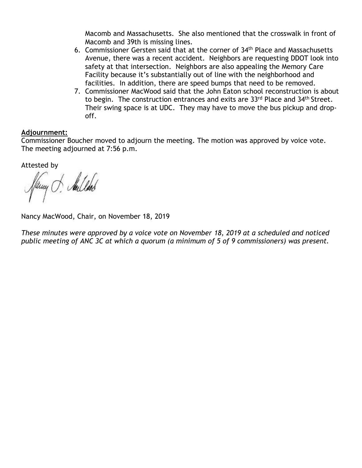Macomb and Massachusetts. She also mentioned that the crosswalk in front of Macomb and 39th is missing lines.

- 6. Commissioner Gersten said that at the corner of 34th Place and Massachusetts Avenue, there was a recent accident. Neighbors are requesting DDOT look into safety at that intersection. Neighbors are also appealing the Memory Care Facility because it's substantially out of line with the neighborhood and facilities. In addition, there are speed bumps that need to be removed.
- 7. Commissioner MacWood said that the John Eaton school reconstruction is about to begin. The construction entrances and exits are 33rd Place and 34<sup>th</sup> Street. Their swing space is at UDC. They may have to move the bus pickup and dropoff.

#### **Adjournment:**

Commissioner Boucher moved to adjourn the meeting. The motion was approved by voice vote. The meeting adjourned at 7:56 p.m.

Attested by

Pany J. Aulled

Nancy MacWood, Chair, on November 18, 2019

*These minutes were approved by a voice vote on November 18, 2019 at a scheduled and noticed public meeting of ANC 3C at which a quorum (a minimum of 5 of 9 commissioners) was present.*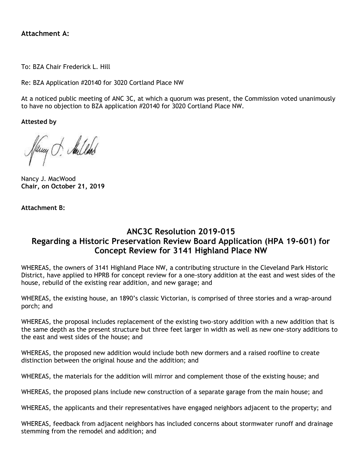### **Attachment A:**

To: BZA Chair Frederick L. Hill

Re: BZA Application #20140 for 3020 Cortland Place NW

At a noticed public meeting of ANC 3C, at which a quorum was present, the Commission voted unanimously to have no objection to BZA application #20140 for 3020 Cortland Place NW.

**Attested by**

Pany J. Andles

Nancy J. MacWood **Chair, on October 21, 2019**

**Attachment B:**

# **ANC3C Resolution 2019-015 Regarding a Historic Preservation Review Board Application (HPA 19-601) for Concept Review for 3141 Highland Place NW**

WHEREAS, the owners of 3141 Highland Place NW, a contributing structure in the Cleveland Park Historic District, have applied to HPRB for concept review for a one-story addition at the east and west sides of the house, rebuild of the existing rear addition, and new garage; and

WHEREAS, the existing house, an 1890's classic Victorian, is comprised of three stories and a wrap-around porch; and

WHEREAS, the proposal includes replacement of the existing two-story addition with a new addition that is the same depth as the present structure but three feet larger in width as well as new one-story additions to the east and west sides of the house; and

WHEREAS, the proposed new addition would include both new dormers and a raised roofline to create distinction between the original house and the addition; and

WHEREAS, the materials for the addition will mirror and complement those of the existing house; and

WHEREAS, the proposed plans include new construction of a separate garage from the main house; and

WHEREAS, the applicants and their representatives have engaged neighbors adjacent to the property; and

WHEREAS, feedback from adjacent neighbors has included concerns about stormwater runoff and drainage stemming from the remodel and addition; and